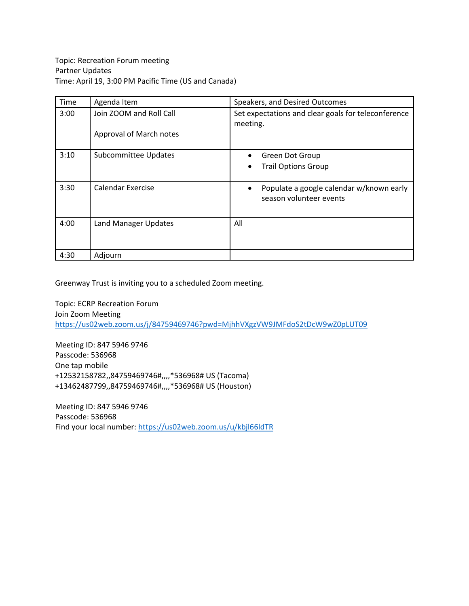| Time | Agenda Item             | Speakers, and Desired Outcomes                                                   |
|------|-------------------------|----------------------------------------------------------------------------------|
| 3:00 | Join ZOOM and Roll Call | Set expectations and clear goals for teleconference<br>meeting.                  |
|      | Approval of March notes |                                                                                  |
| 3:10 | Subcommittee Updates    | Green Dot Group<br>$\bullet$                                                     |
|      |                         | <b>Trail Options Group</b><br>٠                                                  |
| 3:30 | Calendar Exercise       | Populate a google calendar w/known early<br>$\bullet$<br>season volunteer events |
| 4:00 | Land Manager Updates    | All                                                                              |
| 4:30 | Adjourn                 |                                                                                  |

Greenway Trust is inviting you to a scheduled Zoom meeting.

Topic: ECRP Recreation Forum Join Zoom Meeting <https://us02web.zoom.us/j/84759469746?pwd=MjhhVXgzVW9JMFdoS2tDcW9wZ0pLUT09>

Meeting ID: 847 5946 9746 Passcode: 536968 One tap mobile +12532158782,,84759469746#,,,,\*536968# US (Tacoma) +13462487799,,84759469746#,,,,\*536968# US (Houston)

Meeting ID: 847 5946 9746 Passcode: 536968 Find your local number[: https://us02web.zoom.us/u/kbjl66ldTR](https://us02web.zoom.us/u/kbjl66ldTR)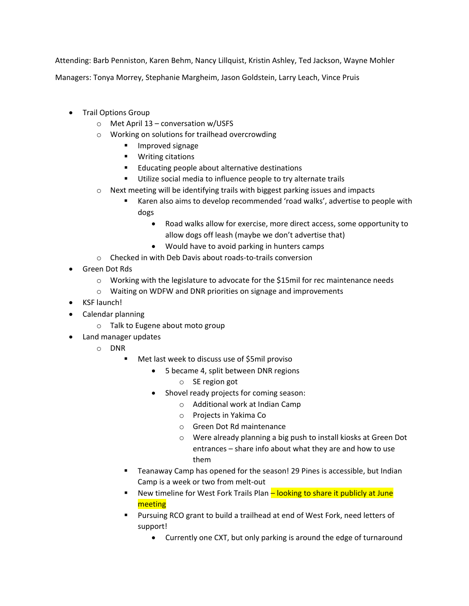Attending: Barb Penniston, Karen Behm, Nancy Lillquist, Kristin Ashley, Ted Jackson, Wayne Mohler

Managers: Tonya Morrey, Stephanie Margheim, Jason Goldstein, Larry Leach, Vince Pruis

- Trail Options Group
	- o Met April 13 conversation w/USFS
	- o Working on solutions for trailhead overcrowding
		- **Improved signage**
		- **•** Writing citations
		- **Educating people about alternative destinations**
		- **Utilize social media to influence people to try alternate trails**
	- $\circ$  Next meeting will be identifying trails with biggest parking issues and impacts
		- Karen also aims to develop recommended 'road walks', advertise to people with dogs
			- Road walks allow for exercise, more direct access, some opportunity to allow dogs off leash (maybe we don't advertise that)
			- Would have to avoid parking in hunters camps
	- o Checked in with Deb Davis about roads-to-trails conversion
- Green Dot Rds
	- $\circ$  Working with the legislature to advocate for the \$15mil for rec maintenance needs
	- o Waiting on WDFW and DNR priorities on signage and improvements
- KSF launch!
- Calendar planning
	- o Talk to Eugene about moto group
- Land manager updates
	- o DNR
		- Met last week to discuss use of \$5mil proviso
			- 5 became 4, split between DNR regions
				- o SE region got
			- Shovel ready projects for coming season:
				- o Additional work at Indian Camp
				- o Projects in Yakima Co
				- o Green Dot Rd maintenance
				- o Were already planning a big push to install kiosks at Green Dot entrances – share info about what they are and how to use them
		- **Teanaway Camp has opened for the season! 29 Pines is accessible, but Indian** Camp is a week or two from melt-out
		- **New timeline for West Fork Trails Plan looking to share it publicly at June** meeting
		- Pursuing RCO grant to build a trailhead at end of West Fork, need letters of support!
			- Currently one CXT, but only parking is around the edge of turnaround